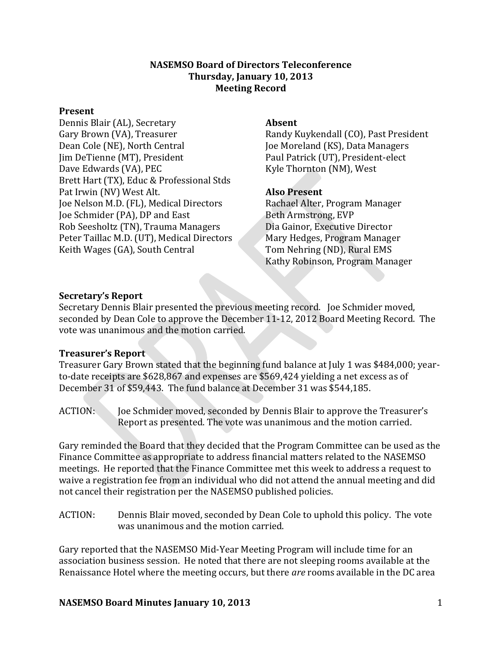### **NASEMSO Board of Directors Teleconference Thursday, January 10, 2013 Meeting Record**

#### **Present**

Dennis Blair (AL), Secretary Gary Brown (VA), Treasurer Dean Cole (NE), North Central Jim DeTienne (MT), President Dave Edwards (VA), PEC Brett Hart (TX), Educ & Professional Stds Pat Irwin (NV) West Alt. Joe Nelson M.D. (FL), Medical Directors Joe Schmider (PA), DP and East Rob Seesholtz (TN), Trauma Managers Peter Taillac M.D. (UT), Medical Directors Keith Wages (GA), South Central

### **Absent**

Randy Kuykendall (CO), Past President Joe Moreland (KS), Data Managers Paul Patrick (UT), President-elect Kyle Thornton (NM), West

### **Also Present**

Rachael Alter, Program Manager Beth Armstrong, EVP Dia Gainor, Executive Director Mary Hedges, Program Manager Tom Nehring (ND), Rural EMS Kathy Robinson, Program Manager

### **Secretary's Report**

Secretary Dennis Blair presented the previous meeting record. Joe Schmider moved, seconded by Dean Cole to approve the December 11-12, 2012 Board Meeting Record. The vote was unanimous and the motion carried.

### **Treasurer's Report**

Treasurer Gary Brown stated that the beginning fund balance at July 1 was \$484,000; yearto-date receipts are \$628,867 and expenses are \$569,424 yielding a net excess as of December 31 of \$59,443. The fund balance at December 31 was \$544,185.

ACTION: Joe Schmider moved, seconded by Dennis Blair to approve the Treasurer's Report as presented. The vote was unanimous and the motion carried.

Gary reminded the Board that they decided that the Program Committee can be used as the Finance Committee as appropriate to address financial matters related to the NASEMSO meetings. He reported that the Finance Committee met this week to address a request to waive a registration fee from an individual who did not attend the annual meeting and did not cancel their registration per the NASEMSO published policies.

ACTION: Dennis Blair moved, seconded by Dean Cole to uphold this policy. The vote was unanimous and the motion carried.

Gary reported that the NASEMSO Mid-Year Meeting Program will include time for an association business session. He noted that there are not sleeping rooms available at the Renaissance Hotel where the meeting occurs, but there *are* rooms available in the DC area

### **NASEMSO Board Minutes January 10, 2013** 1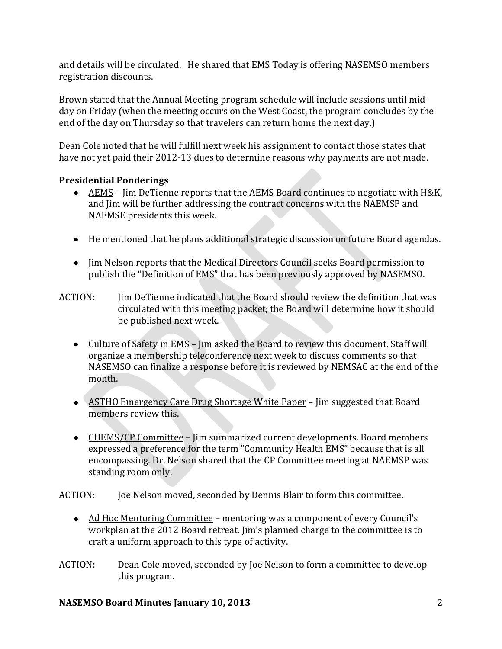and details will be circulated. He shared that EMS Today is offering NASEMSO members registration discounts.

Brown stated that the Annual Meeting program schedule will include sessions until midday on Friday (when the meeting occurs on the West Coast, the program concludes by the end of the day on Thursday so that travelers can return home the next day.)

Dean Cole noted that he will fulfill next week his assignment to contact those states that have not yet paid their 2012-13 dues to determine reasons why payments are not made.

# **Presidential Ponderings**

- AEMS Jim DeTienne reports that the AEMS Board continues to negotiate with H&K, and Jim will be further addressing the contract concerns with the NAEMSP and NAEMSE presidents this week.
- He mentioned that he plans additional strategic discussion on future Board agendas.
- Jim Nelson reports that the Medical Directors Council seeks Board permission to publish the "Definition of EMS" that has been previously approved by NASEMSO.
- ACTION: Jim DeTienne indicated that the Board should review the definition that was circulated with this meeting packet; the Board will determine how it should be published next week.
	- Culture of Safety in EMS Jim asked the Board to review this document. Staff will organize a membership teleconference next week to discuss comments so that NASEMSO can finalize a response before it is reviewed by NEMSAC at the end of the month.
	- ASTHO Emergency Care Drug Shortage White Paper Jim suggested that Board members review this.
	- CHEMS/CP Committee Jim summarized current developments. Board members expressed a preference for the term "Community Health EMS" because that is all encompassing. Dr. Nelson shared that the CP Committee meeting at NAEMSP was standing room only.

ACTION: Joe Nelson moved, seconded by Dennis Blair to form this committee.

- Ad Hoc Mentoring Committee mentoring was a component of every Council's workplan at the 2012 Board retreat. Jim's planned charge to the committee is to craft a uniform approach to this type of activity.
- ACTION: Dean Cole moved, seconded by Joe Nelson to form a committee to develop this program.

# **NASEMSO Board Minutes January 10, 2013** 2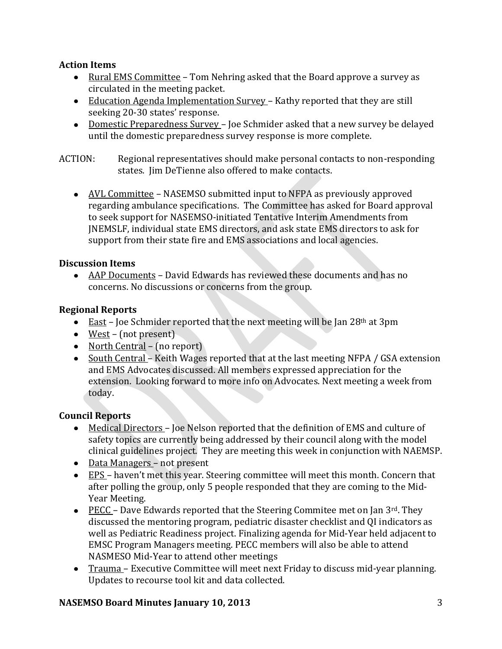# **Action Items**

- Rural EMS Committee Tom Nehring asked that the Board approve a survey as circulated in the meeting packet.
- Education Agenda Implementation Survey Kathy reported that they are still seeking 20-30 states' response.
- Domestic Preparedness Survey Joe Schmider asked that a new survey be delayed until the domestic preparedness survey response is more complete.

ACTION: Regional representatives should make personal contacts to non-responding states. Jim DeTienne also offered to make contacts.

AVL Committee – NASEMSO submitted input to NFPA as previously approved regarding ambulance specifications. The Committee has asked for Board approval to seek support for NASEMSO-initiated Tentative Interim Amendments from JNEMSLF, individual state EMS directors, and ask state EMS directors to ask for support from their state fire and EMS associations and local agencies.

### **Discussion Items**

AAP Documents – David Edwards has reviewed these documents and has no concerns. No discussions or concerns from the group.

### **Regional Reports**

- East Joe Schmider reported that the next meeting will be Jan  $28<sup>th</sup>$  at 3pm
- West (not present)
- North Central (no report)
- South Central Keith Wages reported that at the last meeting NFPA / GSA extension and EMS Advocates discussed. All members expressed appreciation for the extension. Looking forward to more info on Advocates. Next meeting a week from today.

### **Council Reports**

- Medical Directors Joe Nelson reported that the definition of EMS and culture of safety topics are currently being addressed by their council along with the model clinical guidelines project. They are meeting this week in conjunction with NAEMSP.
- Data Managers not present
- EPS haven't met this year. Steering committee will meet this month. Concern that after polling the group, only 5 people responded that they are coming to the Mid-Year Meeting.
- **•** PECC Dave Edwards reported that the Steering Commitee met on Jan  $3^{rd}$ . They discussed the mentoring program, pediatric disaster checklist and QI indicators as well as Pediatric Readiness project. Finalizing agenda for Mid-Year held adjacent to EMSC Program Managers meeting. PECC members will also be able to attend NASMESO Mid-Year to attend other meetings
- Trauma Executive Committee will meet next Friday to discuss mid-year planning. Updates to recourse tool kit and data collected.

### **NASEMSO Board Minutes January 10, 2013** 3